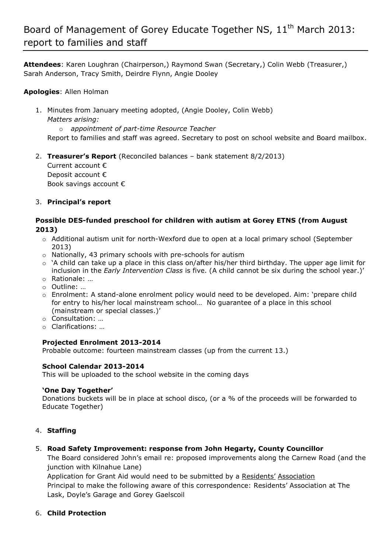# Board of Management of Gorey Educate Together NS, 11<sup>th</sup> March 2013: report to families and staff

**Attendees**: Karen Loughran (Chairperson,) Raymond Swan (Secretary,) Colin Webb (Treasurer,) Sarah Anderson, Tracy Smith, Deirdre Flynn, Angie Dooley

#### **Apologies**: Allen Holman

- 1. Minutes from January meeting adopted, (Angie Dooley, Colin Webb) *Matters arising:* 
	- o *appointment of part-time Resource Teacher*

Report to families and staff was agreed. Secretary to post on school website and Board mailbox.

2. **Treasurer's Report** (Reconciled balances – bank statement 8/2/2013)

Current account € Deposit account € Book savings account €

#### 3. **Principal's report**

#### **Possible DES-funded preschool for children with autism at Gorey ETNS (from August 2013)**

- o Additional autism unit for north-Wexford due to open at a local primary school (September 2013)
- o Nationally, 43 primary schools with pre-schools for autism
- $\circ$  'A child can take up a place in this class on/after his/her third birthday. The upper age limit for inclusion in the *Early Intervention Class* is five. (A child cannot be six during the school year.)'
- o Rationale: …
- o Outline: …
- o Enrolment: A stand-alone enrolment policy would need to be developed. Aim: 'prepare child for entry to his/her local mainstream school… No guarantee of a place in this school (mainstream or special classes.)'
- o Consultation: …
- o Clarifications: …

#### **Projected Enrolment 2013-2014**

Probable outcome: fourteen mainstream classes (up from the current 13.)

#### **School Calendar 2013-2014**

This will be uploaded to the school website in the coming days

#### **'One Day Together'**

Donations buckets will be in place at school disco, (or a % of the proceeds will be forwarded to Educate Together)

#### 4. **Staffing**

#### 5. **Road Safety Improvement: response from John Hegarty, County Councillor**

The Board considered John's email re: proposed improvements along the Carnew Road (and the junction with Kilnahue Lane)

Application for Grant Aid would need to be submitted by a Residents' Association Principal to make the following aware of this correspondence: Residents' Association at The Lask, Doyle's Garage and Gorey Gaelscoil

#### 6. **Child Protection**